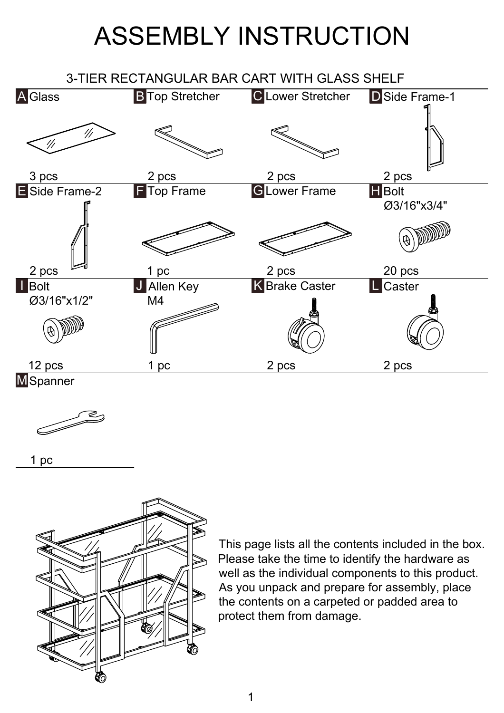## ASSEMBLY INSTRUCTION





1 pc



This page lists all the contents included in the box. Please take the time to identify the hardware as well as the individual components to this product. As you unpack and prepare for assembly, place the contents on a carpeted or padded area to protect them from damage.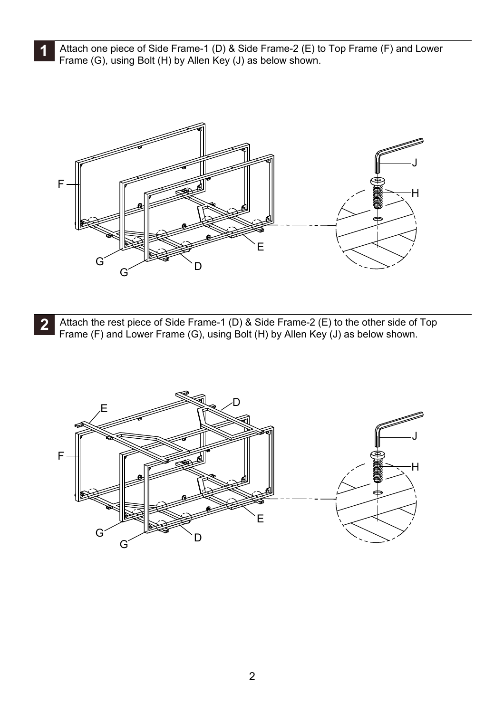Attach one piece of Side Frame-1 (D) & Side Frame-2 (E) to Top Frame (F) and Lower<br>Frame (C) using Relt (U) by Allen Key (I) as helpwebourn Frame (G), using Bolt (H) by Allen Key (J) as below shown.



**2** Attach the rest piece of Side Frame-1 (D) & Side Frame-2 (E) to the other side of Top Frame (F) and Lower Frame (G), using Bolt (H) by Allen Key (J) as below shown.

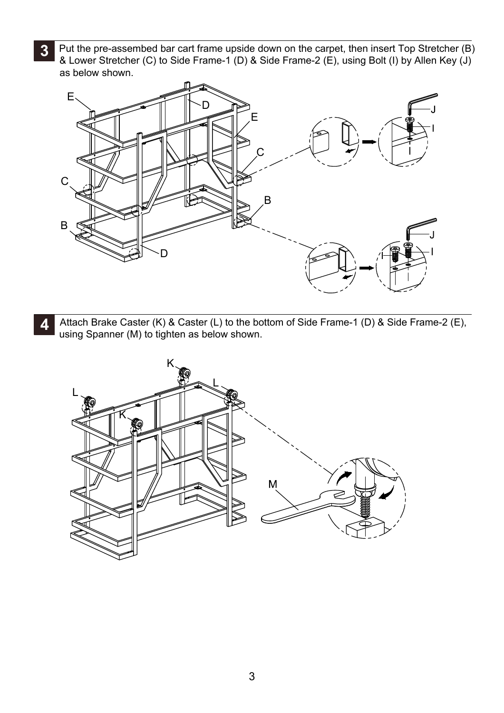**3** Put the pre-assembed bar cart frame upside down on the carpet, then insert Top Stretcher (B)<br>**3** Put the pre-assembed bar cart frame 4 (D) 8 Side Frame 3 (E) using Belt (I) by Allan Kay (I) & Lower Stretcher (C) to Side Frame-1 (D) & Side Frame-2 (E), using Bolt (I) by Allen Key (J) as below shown.



**4** Attach Brake Caster (K) & Caster (L) to the bottom of Side Frame-1 (D) & Side Frame-2 (E), using Spanner (M) to tighten as below shown.